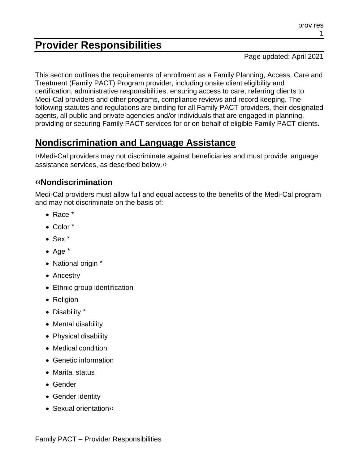# **Provider Responsibilities**

Page updated: April 2021

This section outlines the requirements of enrollment as a Family Planning, Access, Care and Treatment (Family PACT) Program provider, including onsite client eligibility and certification, administrative responsibilities, ensuring access to care, referring clients to Medi-Cal providers and other programs, compliance reviews and record keeping. The following statutes and regulations are binding for all Family PACT providers, their designated agents, all public and private agencies and/or individuals that are engaged in planning, providing or securing Family PACT services for or on behalf of eligible Family PACT clients.

# **Nondiscrimination and Language Assistance**

[‹‹M](#page-15-0)edi-Cal providers may not discriminate against beneficiaries and must provide language assistance services, as described below[.››](#page-15-1)

### **[‹‹N](#page-15-0)ondiscrimination**

Medi-Cal providers must allow full and equal access to the benefits of the Medi-Cal program and may not discriminate on the basis of:

- Race [\\*](#page-15-2)
- Color [\\*](#page-15-2)
- Sex [\\*](#page-15-2)
- Age [\\*](#page-15-2)
- National origin [\\*](#page-15-2)
- Ancestry
- Ethnic group identification
- Religion
- Disability [\\*](#page-15-2)
- Mental disability
- Physical disability
- Medical condition
- Genetic information
- Marital status
- Gender
- Gender identity
- Sexual orientatio[n››](#page-15-1)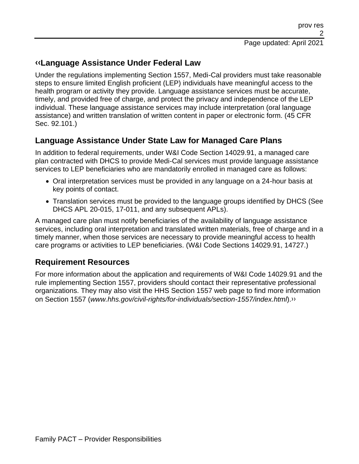### **[‹‹L](#page-15-0)anguage Assistance Under Federal Law**

Under the regulations implementing Section 1557, Medi-Cal providers must take reasonable steps to ensure limited English proficient (LEP) individuals have meaningful access to the health program or activity they provide. Language assistance services must be accurate, timely, and provided free of charge, and protect the privacy and independence of the LEP individual. These language assistance services may include interpretation (oral language assistance) and written translation of written content in paper or electronic form. (45 CFR Sec. 92.101.)

### **Language Assistance Under State Law for Managed Care Plans**

In addition to federal requirements, under W&I Code Section 14029.91, a managed care plan contracted with DHCS to provide Medi-Cal services must provide language assistance services to LEP beneficiaries who are mandatorily enrolled in managed care as follows:

- Oral interpretation services must be provided in any language on a 24-hour basis at key points of contact.
- Translation services must be provided to the language groups identified by DHCS (See DHCS APL 20-015, 17-011, and any subsequent APLs).

A managed care plan must notify beneficiaries of the availability of language assistance services, including oral interpretation and translated written materials, free of charge and in a timely manner, when those services are necessary to provide meaningful access to health care programs or activities to LEP beneficiaries. (W&I Code Sections 14029.91, 14727.)

### **Requirement Resources**

For more information about the application and requirements of W&I Code 14029.91 and the rule implementing Section 1557, providers should contact their representative professional organizations. They may also visit the HHS Section 1557 web page to find more information on Section 1557 (*www.hhs.gov/civil-rights/for-individuals/section-1557/index.html*)[.››](#page-15-1)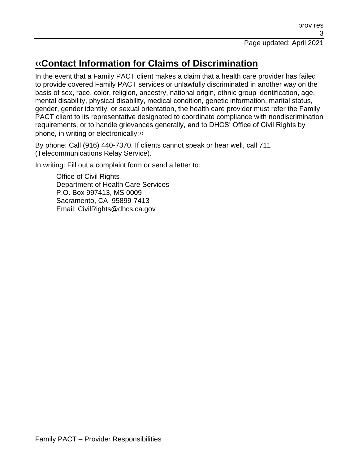# **[‹‹C](#page-15-0)ontact Information for Claims of Discrimination**

In the event that a Family PACT client makes a claim that a health care provider has failed to provide covered Family PACT services or unlawfully discriminated in another way on the basis of sex, race, color, religion, ancestry, national origin, ethnic group identification, age, mental disability, physical disability, medical condition, genetic information, marital status, gender, gender identity, or sexual orientation, the health care provider must refer the Family PACT client to its representative designated to coordinate compliance with nondiscrimination requirements, or to handle grievances generally, and to DHCS' Office of Civil Rights by phone, in writing or electronically[:››](#page-15-1)

By phone: Call (916) 440-7370. If clients cannot speak or hear well, call 711 (Telecommunications Relay Service).

In writing: Fill out a complaint form or send a letter to:

Office of Civil Rights Department of Health Care Services P.O. Box 997413, MS 0009 Sacramento, CA 95899-7413 Email: CivilRights@dhcs.ca.gov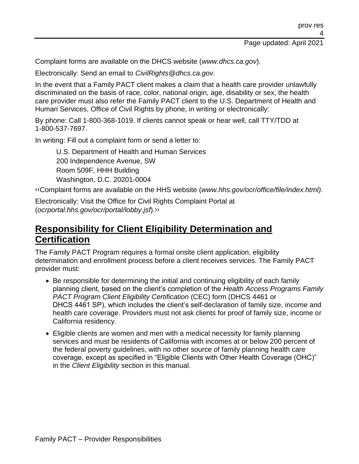Complaint forms are available on the DHCS website (*www.dhcs.ca.gov*).

Electronically: Send an email to *CivilRights@dhcs.ca.gov*.

In the event that a Family PACT client makes a claim that a health care provider unlawfully discriminated on the basis of race, color, national origin, age, disability or sex, the health care provider must also refer the Family PACT client to the U.S. Department of Health and Human Services, Office of Civil Rights by phone, in writing or electronically:

By phone: Call 1-800-368-1019. If clients cannot speak or hear well, call TTY/TDD at 1-800-537-7697.

In writing: Fill out a complaint form or send a letter to:

U.S. Department of Health and Human Services 200 Independence Avenue, SW Room 509F, HHH Building Washington, D.C. 20201-0004

[‹‹C](#page-15-0)omplaint forms are available on the HHS website (*www.hhs.gov/ocr/office/file/index.html)*.

Electronically: Visit the Office for Civil Rights Complaint Portal at (*ocrportal.hhs.gov/ocr/portal/lobby.jsf*)[.››](#page-15-1)

# **Responsibility for Client Eligibility Determination and Certification**

The Family PACT Program requires a formal onsite client application, eligibility determination and enrollment process before a client receives services. The Family PACT provider must:

- Be responsible for determining the initial and continuing eligibility of each family planning client, based on the client's completion of the *Health Access Programs Family PACT Program Client Eligibility Certification* (CEC) form (DHCS 4461 or DHCS 4461 SP), which includes the client's self-declaration of family size, income and health care coverage. Providers must not ask clients for proof of family size, income or California residency.
- Eligible clients are women and men with a medical necessity for family planning services and must be residents of California with incomes at or below 200 percent of the federal poverty guidelines, with no other source of family planning health care coverage, except as specified in "Eligible Clients with Other Health Coverage (OHC)" in the *Client Eligibility* section in this manual.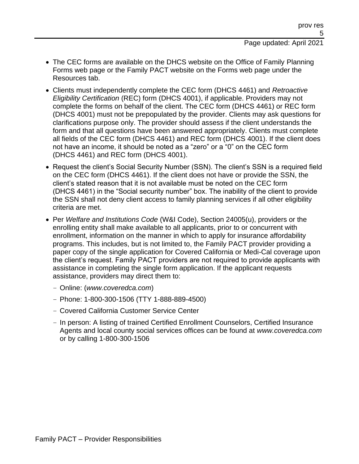- The CEC forms are available on the DHCS website on the Office of Family Planning Forms web page or the Family PACT website on the Forms web page under the Resources tab.
- Clients must independently complete the CEC form (DHCS 4461) and *Retroactive Eligibility Certification* (REC) form (DHCS 4001), if applicable. Providers may not complete the forms on behalf of the client. The CEC form (DHCS 4461) or REC form (DHCS 4001) must not be prepopulated by the provider. Clients may ask questions for clarifications purpose only. The provider should assess if the client understands the form and that all questions have been answered appropriately. Clients must complete all fields of the CEC form (DHCS 4461) and REC form (DHCS 4001). If the client does not have an income, it should be noted as a "zero" or a "0" on the CEC form (DHCS 4461) and REC form (DHCS 4001).
- Request the client's Social Security Number (SSN). The client's SSN is a required field on the CEC form (DHCS 4461). If the client does not have or provide the SSN, the client's stated reason that it is not available must be noted on the CEC form (DHCS 4461) in the "Social security number" box. The inability of the client to provide the SSN shall not deny client access to family planning services if all other eligibility criteria are met.
- Per *Welfare and Institutions Code* (W&I Code), Section 24005(u), providers or the enrolling entity shall make available to all applicants, prior to or concurrent with enrollment, information on the manner in which to apply for insurance affordability programs. This includes, but is not limited to, the Family PACT provider providing a paper copy of the single application for Covered California or Medi-Cal coverage upon the client's request. Family PACT providers are not required to provide applicants with assistance in completing the single form application. If the applicant requests assistance, providers may direct them to:
	- Online: (*www.coveredca.com*)
	- Phone: 1-800-300-1506 (TTY 1-888-889-4500)
	- Covered California Customer Service Center
	- In person: A listing of trained Certified Enrollment Counselors, Certified Insurance Agents and local county social services offices can be found at *www.coveredca.com* or by calling 1-800-300-1506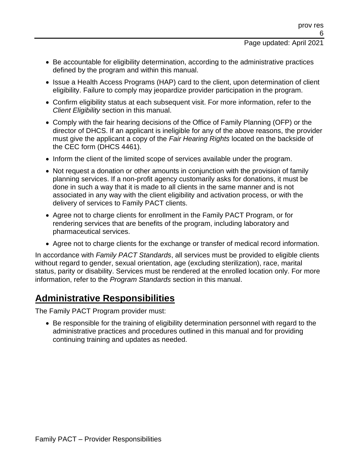#### Page updated: April 2021

- Be accountable for eligibility determination, according to the administrative practices defined by the program and within this manual.
- Issue a Health Access Programs (HAP) card to the client, upon determination of client eligibility. Failure to comply may jeopardize provider participation in the program.
- Confirm eligibility status at each subsequent visit. For more information, refer to the *Client Eligibility* section in this manual.
- Comply with the fair hearing decisions of the Office of Family Planning (OFP) or the director of DHCS. If an applicant is ineligible for any of the above reasons, the provider must give the applicant a copy of the *Fair Hearing Rights* located on the backside of the CEC form (DHCS 4461).
- Inform the client of the limited scope of services available under the program.
- Not request a donation or other amounts in conjunction with the provision of family planning services. If a non-profit agency customarily asks for donations, it must be done in such a way that it is made to all clients in the same manner and is not associated in any way with the client eligibility and activation process, or with the delivery of services to Family PACT clients.
- Agree not to charge clients for enrollment in the Family PACT Program, or for rendering services that are benefits of the program, including laboratory and pharmaceutical services.
- Agree not to charge clients for the exchange or transfer of medical record information.

In accordance with *Family PACT Standards*, all services must be provided to eligible clients without regard to gender, sexual orientation, age (excluding sterilization), race, marital status, parity or disability. Services must be rendered at the enrolled location only. For more information, refer to the *Program Standards* section in this manual.

## **Administrative Responsibilities**

The Family PACT Program provider must:

• Be responsible for the training of eligibility determination personnel with regard to the administrative practices and procedures outlined in this manual and for providing continuing training and updates as needed.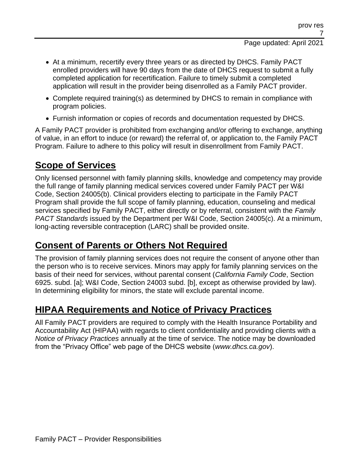- At a minimum, recertify every three years or as directed by DHCS. Family PACT enrolled providers will have 90 days from the date of DHCS request to submit a fully completed application for recertification. Failure to timely submit a completed application will result in the provider being disenrolled as a Family PACT provider.
- Complete required training(s) as determined by DHCS to remain in compliance with program policies.
- Furnish information or copies of records and documentation requested by DHCS.

A Family PACT provider is prohibited from exchanging and/or offering to exchange, anything of value, in an effort to induce (or reward) the referral of, or application to, the Family PACT Program. Failure to adhere to this policy will result in disenrollment from Family PACT.

# **Scope of Services**

Only licensed personnel with family planning skills, knowledge and competency may provide the full range of family planning medical services covered under Family PACT per W&I Code, Section 24005(b). Clinical providers electing to participate in the Family PACT Program shall provide the full scope of family planning, education, counseling and medical services specified by Family PACT, either directly or by referral, consistent with the *Family PACT Standards* issued by the Department per W&I Code, Section 24005(c). At a minimum, long-acting reversible contraception (LARC) shall be provided onsite.

## **Consent of Parents or Others Not Required**

The provision of family planning services does not require the consent of anyone other than the person who is to receive services. Minors may apply for family planning services on the basis of their need for services, without parental consent (*California Family Code*, Section 6925. subd. [a]; W&I Code, Section 24003 subd. [b], except as otherwise provided by law). In determining eligibility for minors, the state will exclude parental income.

# **HIPAA Requirements and Notice of Privacy Practices**

All Family PACT providers are required to comply with the Health Insurance Portability and Accountability Act (HIPAA) with regards to client confidentiality and providing clients with a *Notice of Privacy Practices* annually at the time of service. The notice may be downloaded from the "Privacy Office" web page of the DHCS website (*www.dhcs.ca.gov*).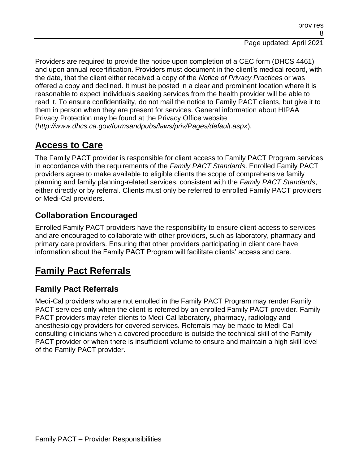#### Page updated: April 2021

Providers are required to provide the notice upon completion of a CEC form (DHCS 4461) and upon annual recertification. Providers must document in the client's medical record, with the date, that the client either received a copy of the *Notice of Privacy Practices* or was offered a copy and declined. It must be posted in a clear and prominent location where it is reasonable to expect individuals seeking services from the health provider will be able to read it. To ensure confidentiality, do not mail the notice to Family PACT clients, but give it to them in person when they are present for services. General information about HIPAA Privacy Protection may be found at the Privacy Office website (*http://www.dhcs.ca.gov/formsandpubs/laws/priv/Pages/default.aspx*).

# **Access to Care**

The Family PACT provider is responsible for client access to Family PACT Program services in accordance with the requirements of the *Family PACT Standards*. Enrolled Family PACT providers agree to make available to eligible clients the scope of comprehensive family planning and family planning-related services, consistent with the *Family PACT Standards*, either directly or by referral. Clients must only be referred to enrolled Family PACT providers or Medi-Cal providers.

## **Collaboration Encouraged**

Enrolled Family PACT providers have the responsibility to ensure client access to services and are encouraged to collaborate with other providers, such as laboratory, pharmacy and primary care providers. Ensuring that other providers participating in client care have information about the Family PACT Program will facilitate clients' access and care.

# **Family Pact Referrals**

## **Family Pact Referrals**

Medi-Cal providers who are not enrolled in the Family PACT Program may render Family PACT services only when the client is referred by an enrolled Family PACT provider. Family PACT providers may refer clients to Medi-Cal laboratory, pharmacy, radiology and anesthesiology providers for covered services. Referrals may be made to Medi-Cal consulting clinicians when a covered procedure is outside the technical skill of the Family PACT provider or when there is insufficient volume to ensure and maintain a high skill level of the Family PACT provider.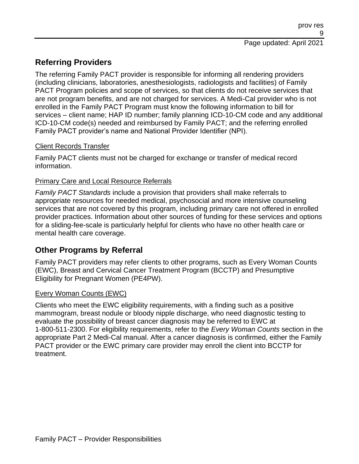## **Referring Providers**

The referring Family PACT provider is responsible for informing all rendering providers (including clinicians, laboratories, anesthesiologists, radiologists and facilities) of Family PACT Program policies and scope of services, so that clients do not receive services that are not program benefits, and are not charged for services. A Medi-Cal provider who is not enrolled in the Family PACT Program must know the following information to bill for services – client name; HAP ID number; family planning ICD-10-CM code and any additional ICD-10-CM code(s) needed and reimbursed by Family PACT; and the referring enrolled Family PACT provider's name and National Provider Identifier (NPI).

#### Client Records Transfer

Family PACT clients must not be charged for exchange or transfer of medical record information.

#### Primary Care and Local Resource Referrals

*Family PACT Standards* include a provision that providers shall make referrals to appropriate resources for needed medical, psychosocial and more intensive counseling services that are not covered by this program, including primary care not offered in enrolled provider practices. Information about other sources of funding for these services and options for a sliding-fee-scale is particularly helpful for clients who have no other health care or mental health care coverage.

### **Other Programs by Referral**

Family PACT providers may refer clients to other programs, such as Every Woman Counts (EWC), Breast and Cervical Cancer Treatment Program (BCCTP) and Presumptive Eligibility for Pregnant Women (PE4PW).

#### Every Woman Counts (EWC)

Clients who meet the EWC eligibility requirements, with a finding such as a positive mammogram, breast nodule or bloody nipple discharge, who need diagnostic testing to evaluate the possibility of breast cancer diagnosis may be referred to EWC at 1-800-511-2300. For eligibility requirements, refer to the *Every Woman Counts* section in the appropriate Part 2 Medi-Cal manual. After a cancer diagnosis is confirmed, either the Family PACT provider or the EWC primary care provider may enroll the client into BCCTP for treatment.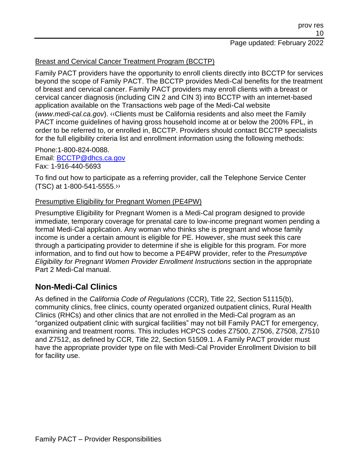#### Breast and Cervical Cancer Treatment Program (BCCTP)

Family PACT providers have the opportunity to enroll clients directly into BCCTP for services beyond the scope of Family PACT. The BCCTP provides Medi-Cal benefits for the treatment of breast and cervical cancer. Family PACT providers may enroll clients with a breast or cervical cancer diagnosis (including CIN 2 and CIN 3) into BCCTP with an internet-based application available on the Transactions web page of the Medi-Cal website (*www.medi-cal.ca.gov*). [‹‹C](#page-15-0)lients must be California residents and also meet the Family PACT income guidelines of having gross household income at or below the 200% FPL, in order to be referred to, or enrolled in, BCCTP. Providers should contact BCCTP specialists for the full eligibility criteria list and enrollment information using the following methods:

Phone:1-800-824-0088. Email: [BCCTP@dhcs.ca.gov](mailto:BCCTP@dhcs.ca.gov) Fax: 1-916-440-5693

To find out how to participate as a referring provider, call the Telephone Service Center (TSC) at 1-800-541-5555[.››](#page-15-1)

#### Presumptive Eligibility for Pregnant Women (PE4PW)

Presumptive Eligibility for Pregnant Women is a Medi-Cal program designed to provide immediate, temporary coverage for prenatal care to low-income pregnant women pending a formal Medi-Cal application. Any woman who thinks she is pregnant and whose family income is under a certain amount is eligible for PE. However, she must seek this care through a participating provider to determine if she is eligible for this program. For more information, and to find out how to become a PE4PW provider, refer to the *Presumptive Eligibility for Pregnant Women Provider Enrollment Instructions* section in the appropriate Part 2 Medi-Cal manual.

### **Non-Medi-Cal Clinics**

As defined in the *California Code of Regulations* (CCR), Title 22, Section 51115(b), community clinics, free clinics, county operated organized outpatient clinics, Rural Health Clinics (RHCs) and other clinics that are not enrolled in the Medi-Cal program as an "organized outpatient clinic with surgical facilities" may not bill Family PACT for emergency, examining and treatment rooms. This includes HCPCS codes Z7500, Z7506, Z7508, Z7510 and Z7512, as defined by CCR, Title 22, Section 51509.1. A Family PACT provider must have the appropriate provider type on file with Medi-Cal Provider Enrollment Division to bill for facility use.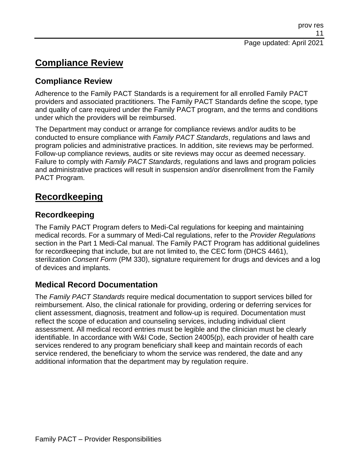# **Compliance Review**

### **Compliance Review**

Adherence to the Family PACT Standards is a requirement for all enrolled Family PACT providers and associated practitioners. The Family PACT Standards define the scope, type and quality of care required under the Family PACT program, and the terms and conditions under which the providers will be reimbursed.

The Department may conduct or arrange for compliance reviews and/or audits to be conducted to ensure compliance with *Family PACT Standards*, regulations and laws and program policies and administrative practices. In addition, site reviews may be performed. Follow-up compliance reviews, audits or site reviews may occur as deemed necessary. Failure to comply with *Family PACT Standards*, regulations and laws and program policies and administrative practices will result in suspension and/or disenrollment from the Family PACT Program.

# **Recordkeeping**

## **Recordkeeping**

The Family PACT Program defers to Medi-Cal regulations for keeping and maintaining medical records. For a summary of Medi-Cal regulations, refer to the *Provider Regulations* section in the Part 1 Medi-Cal manual. The Family PACT Program has additional guidelines for recordkeeping that include, but are not limited to, the CEC form (DHCS 4461), sterilization *Consent Form* (PM 330), signature requirement for drugs and devices and a log of devices and implants.

## **Medical Record Documentation**

The *Family PACT Standards* require medical documentation to support services billed for reimbursement. Also, the clinical rationale for providing, ordering or deferring services for client assessment, diagnosis, treatment and follow-up is required. Documentation must reflect the scope of education and counseling services, including individual client assessment. All medical record entries must be legible and the clinician must be clearly identifiable. In accordance with W&I Code, Section 24005(p), each provider of health care services rendered to any program beneficiary shall keep and maintain records of each service rendered, the beneficiary to whom the service was rendered, the date and any additional information that the department may by regulation require.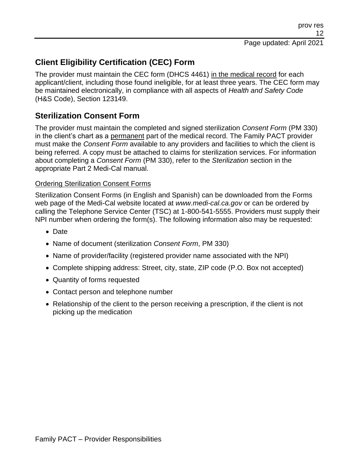## **Client Eligibility Certification (CEC) Form**

The provider must maintain the CEC form (DHCS 4461) in the medical record for each applicant/client, including those found ineligible, for at least three years. The CEC form may be maintained electronically, in compliance with all aspects of *Health and Safety Code* (H&S Code), Section 123149.

### **Sterilization Consent Form**

The provider must maintain the completed and signed sterilization *Consent Form* (PM 330) in the client's chart as a permanent part of the medical record. The Family PACT provider must make the *Consent Form* available to any providers and facilities to which the client is being referred. A copy must be attached to claims for sterilization services. For information about completing a *Consent Form* (PM 330), refer to the *Sterilization* section in the appropriate Part 2 Medi-Cal manual.

#### Ordering Sterilization Consent Forms

Sterilization Consent Forms (in English and Spanish) can be downloaded from the Forms web page of the Medi-Cal website located at *www.medi-cal.ca.gov* or can be ordered by calling the Telephone Service Center (TSC) at 1-800-541-5555. Providers must supply their NPI number when ordering the form(s). The following information also may be requested:

- Date
- Name of document (sterilization *Consent Form*, PM 330)
- Name of provider/facility (registered provider name associated with the NPI)
- Complete shipping address: Street, city, state, ZIP code (P.O. Box not accepted)
- Quantity of forms requested
- Contact person and telephone number
- Relationship of the client to the person receiving a prescription, if the client is not picking up the medication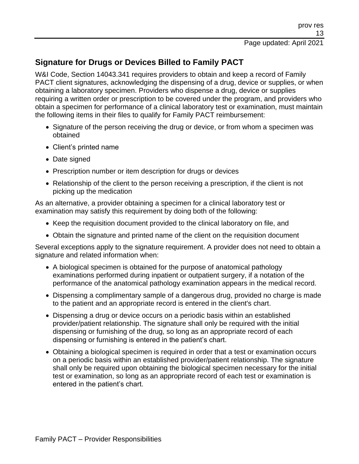## **Signature for Drugs or Devices Billed to Family PACT**

W&I Code, Section 14043.341 requires providers to obtain and keep a record of Family PACT client signatures, acknowledging the dispensing of a drug, device or supplies, or when obtaining a laboratory specimen. Providers who dispense a drug, device or supplies requiring a written order or prescription to be covered under the program, and providers who obtain a specimen for performance of a clinical laboratory test or examination, must maintain the following items in their files to qualify for Family PACT reimbursement:

- Signature of the person receiving the drug or device, or from whom a specimen was obtained
- Client's printed name
- Date signed
- Prescription number or item description for drugs or devices
- Relationship of the client to the person receiving a prescription, if the client is not picking up the medication

As an alternative, a provider obtaining a specimen for a clinical laboratory test or examination may satisfy this requirement by doing both of the following:

- Keep the requisition document provided to the clinical laboratory on file, and
- Obtain the signature and printed name of the client on the requisition document

Several exceptions apply to the signature requirement. A provider does not need to obtain a signature and related information when:

- A biological specimen is obtained for the purpose of anatomical pathology examinations performed during inpatient or outpatient surgery, if a notation of the performance of the anatomical pathology examination appears in the medical record.
- Dispensing a complimentary sample of a dangerous drug, provided no charge is made to the patient and an appropriate record is entered in the client's chart.
- Dispensing a drug or device occurs on a periodic basis within an established provider/patient relationship. The signature shall only be required with the initial dispensing or furnishing of the drug, so long as an appropriate record of each dispensing or furnishing is entered in the patient's chart.
- Obtaining a biological specimen is required in order that a test or examination occurs on a periodic basis within an established provider/patient relationship. The signature shall only be required upon obtaining the biological specimen necessary for the initial test or examination, so long as an appropriate record of each test or examination is entered in the patient's chart.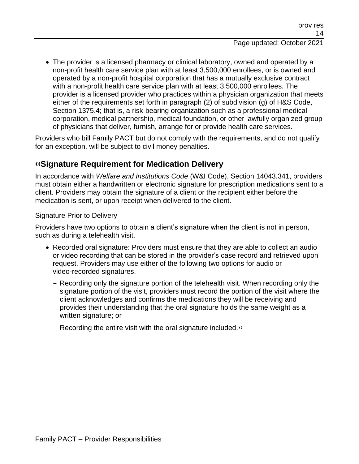• The provider is a licensed pharmacy or clinical laboratory, owned and operated by a non-profit health care service plan with at least 3,500,000 enrollees, or is owned and operated by a non-profit hospital corporation that has a mutually exclusive contract with a non-profit health care service plan with at least 3,500,000 enrollees. The provider is a licensed provider who practices within a physician organization that meets either of the requirements set forth in paragraph (2) of subdivision (g) of H&S Code, Section 1375.4; that is, a risk-bearing organization such as a professional medical corporation, medical partnership, medical foundation, or other lawfully organized group of physicians that deliver, furnish, arrange for or provide health care services.

Providers who bill Family PACT but do not comply with the requirements, and do not qualify for an exception, will be subject to civil money penalties.

## **[‹‹S](#page-15-0)ignature Requirement for Medication Delivery**

In accordance with *Welfare and Institutions Code* (W&I Code), Section 14043.341, providers must obtain either a handwritten or electronic signature for prescription medications sent to a client. Providers may obtain the signature of a client or the recipient either before the medication is sent, or upon receipt when delivered to the client.

#### Signature Prior to Delivery

Providers have two options to obtain a client's signature when the client is not in person, such as during a telehealth visit.

- Recorded oral signature: Providers must ensure that they are able to collect an audio or video recording that can be stored in the provider's case record and retrieved upon request. Providers may use either of the following two options for audio or video-recorded signatures.
	- Recording only the signature portion of the telehealth visit. When recording only the signature portion of the visit, providers must record the portion of the visit where the client acknowledges and confirms the medications they will be receiving and provides their understanding that the oral signature holds the same weight as a written signature; or
	- Recording the entire visit with the oral signature included[.››](#page-15-1)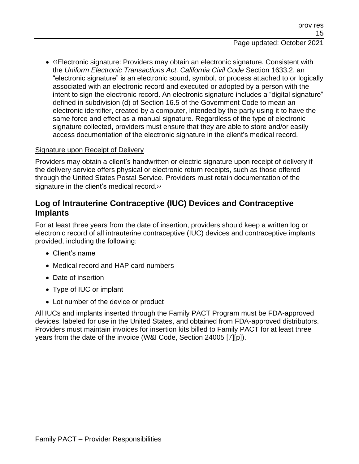- Page updated: October 2021
- [‹‹E](#page-15-0)lectronic signature: Providers may obtain an electronic signature. Consistent with the *Uniform Electronic Transactions Act, California Civil Code* Section 1633.2, an "electronic signature" is an electronic sound, symbol, or process attached to or logically associated with an electronic record and executed or adopted by a person with the intent to sign the electronic record. An electronic signature includes a "digital signature" defined in subdivision (d) of Section 16.5 of the Government Code to mean an electronic identifier, created by a computer, intended by the party using it to have the same force and effect as a manual signature. Regardless of the type of electronic signature collected, providers must ensure that they are able to store and/or easily access documentation of the electronic signature in the client's medical record.

#### Signature upon Receipt of Delivery

Providers may obtain a client's handwritten or electric signature upon receipt of delivery if the delivery service offers physical or electronic return receipts, such as those offered through the United States Postal Service. Providers must retain documentation of the signature in the client's medical record.<sup>>></sup>

#### **Log of Intrauterine Contraceptive (IUC) Devices and Contraceptive Implants**

For at least three years from the date of insertion, providers should keep a written log or electronic record of all intrauterine contraceptive (IUC) devices and contraceptive implants provided, including the following:

- Client's name
- Medical record and HAP card numbers
- Date of insertion
- Type of IUC or implant
- Lot number of the device or product

All IUCs and implants inserted through the Family PACT Program must be FDA-approved devices, labeled for use in the United States, and obtained from FDA-approved distributors. Providers must maintain invoices for insertion kits billed to Family PACT for at least three years from the date of the invoice (W&I Code, Section 24005 [7][p]).